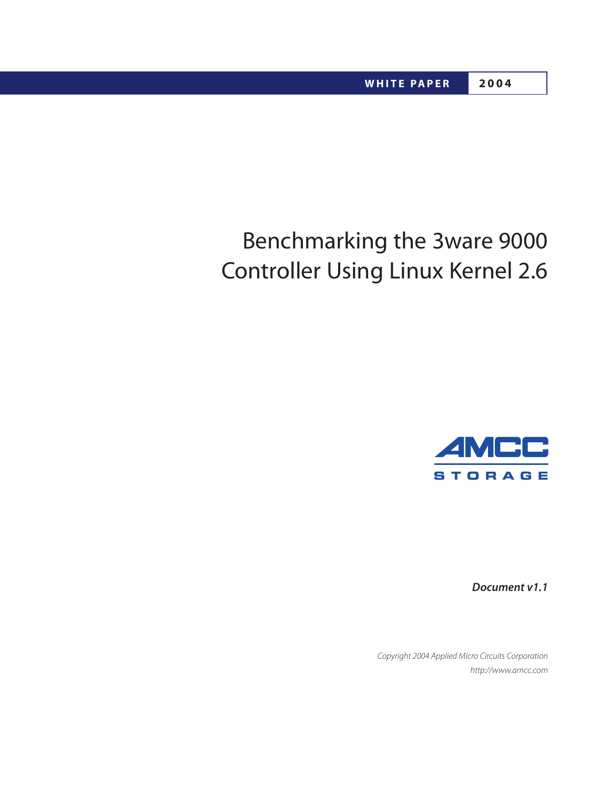# Benchmarking the 3ware 9000 Controller Using Linux Kernel 2.6



**Document v1.1**

Copyright 2004 Applied Micro Circuits Corporation http://www.amcc.com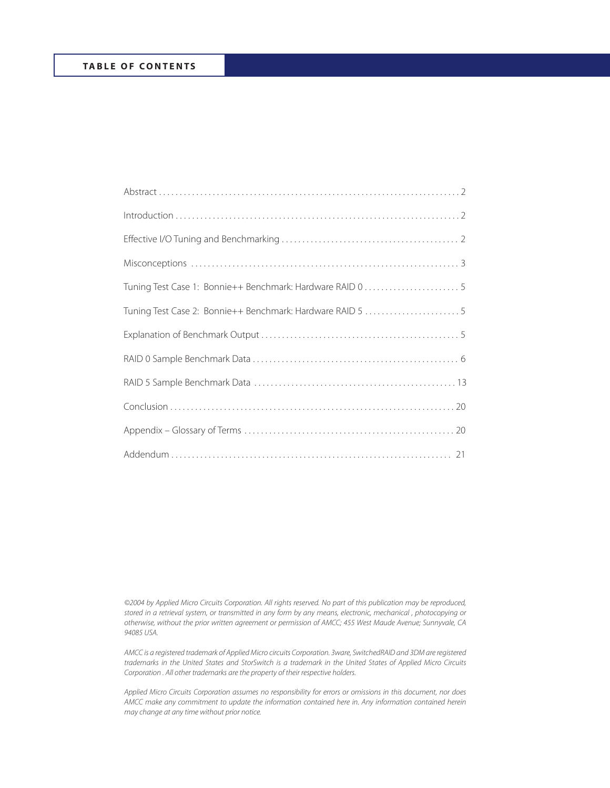| Tuning Test Case 2: Bonnie++ Benchmark: Hardware RAID 5  5 |
|------------------------------------------------------------|
|                                                            |
|                                                            |
|                                                            |
|                                                            |
|                                                            |
|                                                            |

©2004 by Applied Micro Circuits Corporation. All rights reserved. No part of this publication may be reproduced, stored in a retrieval system, or transmitted in any form by any means, electronic, mechanical , photocopying or otherwise, without the prior written agreement or permission of AMCC; 455 West Maude Avenue; Sunnyvale, CA 94085 USA.

AMCC is a registered trademark of Applied Micro circuits Corporation. 3ware, SwitchedRAID and 3DM are registered trademarks in the United States and StorSwitch is a trademark in the United States of Applied Micro Circuits Corporation . All other trademarks are the property of their respective holders.

Applied Micro Circuits Corporation assumes no responsibility for errors or omissions in this document, nor does AMCC make any commitment to update the information contained here in. Any information contained herein may change at any time without prior notice.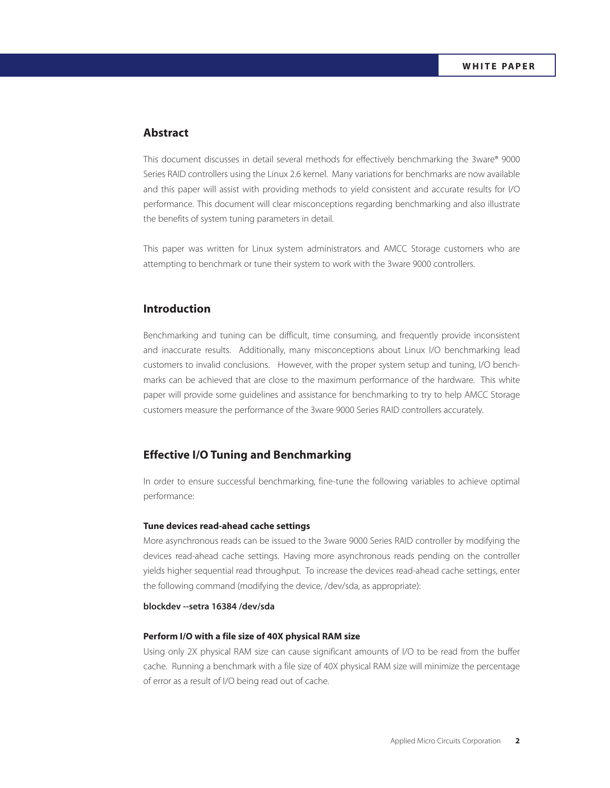# **Abstract**

This document discusses in detail several methods for effectively benchmarking the 3ware® 9000 Series RAID controllers using the Linux 2.6 kernel. Many variations for benchmarks are now available and this paper will assist with providing methods to yield consistent and accurate results for I/O performance. This document will clear misconceptions regarding benchmarking and also illustrate the benefits of system tuning parameters in detail.

This paper was written for Linux system administrators and AMCC Storage customers who are attempting to benchmark or tune their system to work with the 3ware 9000 controllers.

# **Introduction**

Benchmarking and tuning can be difficult, time consuming, and frequently provide inconsistent and inaccurate results. Additionally, many misconceptions about Linux I/O benchmarking lead customers to invalid conclusions. However, with the proper system setup and tuning, I/O benchmarks can be achieved that are close to the maximum performance of the hardware. This white paper will provide some guidelines and assistance for benchmarking to try to help AMCC Storage customers measure the performance of the 3ware 9000 Series RAID controllers accurately.

## **Effective I/O Tuning and Benchmarking**

In order to ensure successful benchmarking, fine-tune the following variables to achieve optimal performance:

#### **Tune devices read-ahead cache settings**

More asynchronous reads can be issued to the 3ware 9000 Series RAID controller by modifying the devices read-ahead cache settings. Having more asynchronous reads pending on the controller yields higher sequential read throughput. To increase the devices read-ahead cache settings, enter the following command (modifying the device, /dev/sda, as appropriate):

## **blockdev --setra 16384 /dev/sda**

## **Perform I/O with a file size of 40X physical RAM size**

Using only 2X physical RAM size can cause significant amounts of I/O to be read from the buffer cache. Running a benchmark with a file size of 40X physical RAM size will minimize the percentage of error as a result of I/O being read out of cache.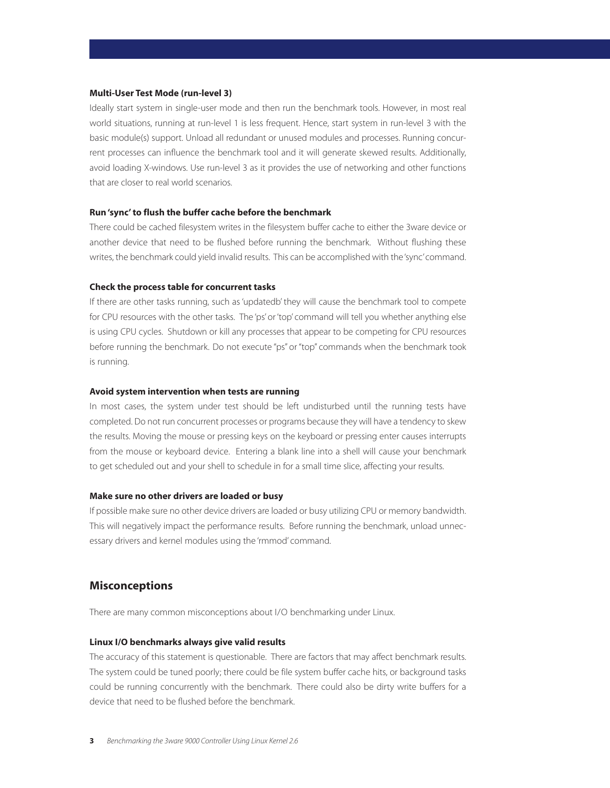#### **Multi-User Test Mode (run-level 3)**

Ideally start system in single-user mode and then run the benchmark tools. However, in most real world situations, running at run-level 1 is less frequent. Hence, start system in run-level 3 with the basic module(s) support. Unload all redundant or unused modules and processes. Running concurrent processes can influence the benchmark tool and it will generate skewed results. Additionally, avoid loading X-windows. Use run-level 3 as it provides the use of networking and other functions that are closer to real world scenarios.

## **Run 'sync' to flush the buffer cache before the benchmark**

There could be cached filesystem writes in the filesystem buffer cache to either the 3ware device or another device that need to be flushed before running the benchmark. Without flushing these writes, the benchmark could yield invalid results. This can be accomplished with the 'sync'command.

#### **Check the process table for concurrent tasks**

If there are other tasks running, such as 'updatedb' they will cause the benchmark tool to compete for CPU resources with the other tasks. The 'ps' or 'top' command will tell you whether anything else is using CPU cycles. Shutdown or kill any processes that appear to be competing for CPU resources before running the benchmark. Do not execute "ps" or "top" commands when the benchmark took is running.

#### **Avoid system intervention when tests are running**

In most cases, the system under test should be left undisturbed until the running tests have completed. Do not run concurrent processes or programs because they will have a tendency to skew the results. Moving the mouse or pressing keys on the keyboard or pressing enter causes interrupts from the mouse or keyboard device. Entering a blank line into a shell will cause your benchmark to get scheduled out and your shell to schedule in for a small time slice, affecting your results.

#### **Make sure no other drivers are loaded or busy**

If possible make sure no other device drivers are loaded or busy utilizing CPU or memory bandwidth. This will negatively impact the performance results. Before running the benchmark, unload unnecessary drivers and kernel modules using the 'rmmod' command.

## **Misconceptions**

There are many common misconceptions about I/O benchmarking under Linux.

#### **Linux I/O benchmarks always give valid results**

The accuracy of this statement is questionable. There are factors that may affect benchmark results. The system could be tuned poorly; there could be file system buffer cache hits, or background tasks could be running concurrently with the benchmark. There could also be dirty write buffers for a device that need to be flushed before the benchmark.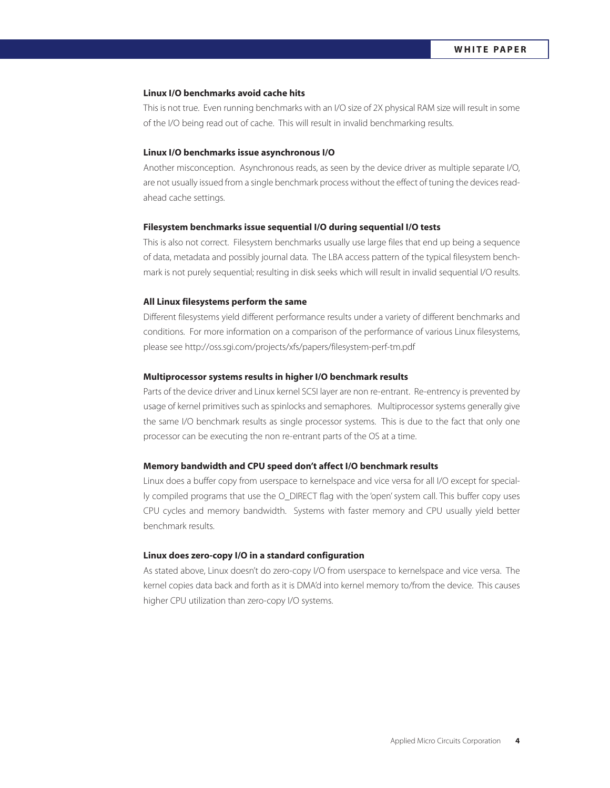## **Linux I/O benchmarks avoid cache hits**

This is not true. Even running benchmarks with an I/O size of 2X physical RAM size will result in some of the I/O being read out of cache. This will result in invalid benchmarking results.

#### **Linux I/O benchmarks issue asynchronous I/O**

Another misconception. Asynchronous reads, as seen by the device driver as multiple separate I/O, are not usually issued from a single benchmark process without the effect of tuning the devices readahead cache settings.

#### **Filesystem benchmarks issue sequential I/O during sequential I/O tests**

This is also not correct. Filesystem benchmarks usually use large files that end up being a sequence of data, metadata and possibly journal data. The LBA access pattern of the typical filesystem benchmark is not purely sequential; resulting in disk seeks which will result in invalid sequential I/O results.

#### **All Linux filesystems perform the same**

Different filesystems yield different performance results under a variety of different benchmarks and conditions. For more information on a comparison of the performance of various Linux filesystems, please see http://oss.sgi.com/projects/xfs/papers/filesystem-perf-tm.pdf

## **Multiprocessor systems results in higher I/O benchmark results**

Parts of the device driver and Linux kernel SCSI layer are non re-entrant. Re-entrency is prevented by usage of kernel primitives such as spinlocks and semaphores. Multiprocessor systems generally give the same I/O benchmark results as single processor systems. This is due to the fact that only one processor can be executing the non re-entrant parts of the OS at a time.

#### **Memory bandwidth and CPU speed don't affect I/O benchmark results**

Linux does a buffer copy from userspace to kernelspace and vice versa for all I/O except for specially compiled programs that use the O\_DIRECT flag with the 'open' system call. This buffer copy uses CPU cycles and memory bandwidth. Systems with faster memory and CPU usually yield better benchmark results.

#### **Linux does zero-copy I/O in a standard configuration**

As stated above, Linux doesn't do zero-copy I/O from userspace to kernelspace and vice versa. The kernel copies data back and forth as it is DMA'd into kernel memory to/from the device. This causes higher CPU utilization than zero-copy I/O systems.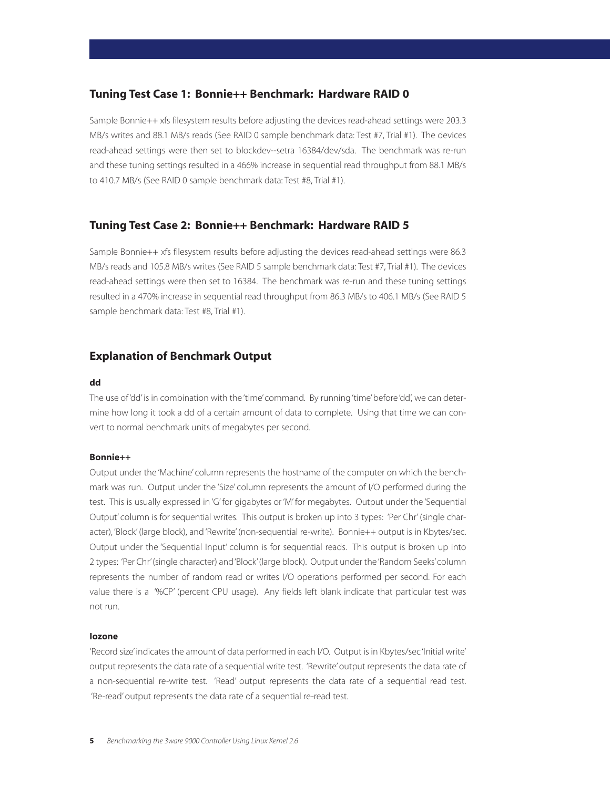# **Tuning Test Case 1: Bonnie++ Benchmark: Hardware RAID 0**

Sample Bonnie++ xfs filesystem results before adjusting the devices read-ahead settings were 203.3 MB/s writes and 88.1 MB/s reads (See RAID 0 sample benchmark data: Test #7, Trial #1). The devices read-ahead settings were then set to blockdev--setra 16384/dev/sda. The benchmark was re-run and these tuning settings resulted in a 466% increase in sequential read throughput from 88.1 MB/s to 410.7 MB/s (See RAID 0 sample benchmark data: Test #8, Trial #1).

# **Tuning Test Case 2: Bonnie++ Benchmark: Hardware RAID 5**

Sample Bonnie++ xfs filesystem results before adjusting the devices read-ahead settings were 86.3 MB/s reads and 105.8 MB/s writes (See RAID 5 sample benchmark data: Test #7, Trial #1). The devices read-ahead settings were then set to 16384. The benchmark was re-run and these tuning settings resulted in a 470% increase in sequential read throughput from 86.3 MB/s to 406.1 MB/s (See RAID 5 sample benchmark data: Test #8, Trial #1).

# **Explanation of Benchmark Output**

## **dd**

The use of 'dd' is in combination with the 'time' command. By running 'time' before 'dd', we can determine how long it took a dd of a certain amount of data to complete. Using that time we can convert to normal benchmark units of megabytes per second.

## **Bonnie++**

Output under the 'Machine' column represents the hostname of the computer on which the benchmark was run. Output under the 'Size' column represents the amount of I/O performed during the test. This is usually expressed in 'G' for gigabytes or 'M' for megabytes. Output under the 'Sequential Output' column is for sequential writes. This output is broken up into 3 types: 'Per Chr' (single character), 'Block' (large block), and 'Rewrite' (non-sequential re-write). Bonnie++ output is in Kbytes/sec. Output under the 'Sequential Input' column is for sequential reads. This output is broken up into 2 types: 'Per Chr'(single character) and 'Block'(large block). Output under the 'Random Seeks'column represents the number of random read or writes I/O operations performed per second. For each value there is a '%CP' (percent CPU usage). Any fields left blank indicate that particular test was not run.

## **Iozone**

'Record size'indicates the amount of data performed in each I/O. Output is in Kbytes/sec 'Initial write' output represents the data rate of a sequential write test. 'Rewrite' output represents the data rate of a non-sequential re-write test. 'Read' output represents the data rate of a sequential read test. 'Re-read' output represents the data rate of a sequential re-read test.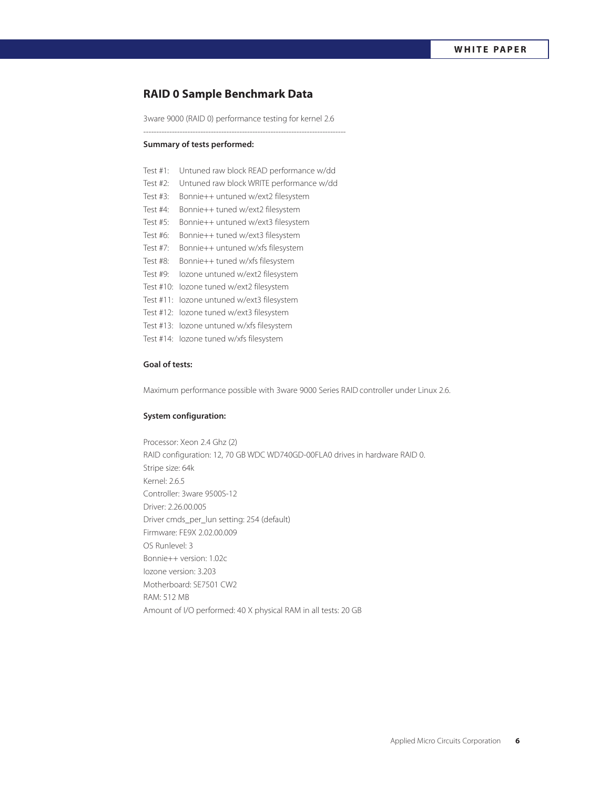# **RAID 0 Sample Benchmark Data**

3ware 9000 (RAID 0) performance testing for kernel 2.6 ------------------------------------------------------------------------------

## **Summary of tests performed:**

| Test #1:  | Untuned raw block READ performance w/dd   |
|-----------|-------------------------------------------|
| Test #2:  | Untuned raw block WRITE performance w/dd  |
| Test #3:  | Bonnie++ untuned w/ext2 filesystem        |
| Test #4:  | Bonnie++ tuned w/ext2 filesystem          |
| Test #5:  | Bonnie++ untuned w/ext3 filesystem        |
| Test #6:  | Bonnie++ tuned w/ext3 filesystem          |
| Test #7:  | Bonnie++ untuned w/xfs filesystem         |
| Test #8:  | Bonnie++ tuned w/xfs filesystem           |
| Test #9:  | lozone untuned w/ext2 filesystem          |
| Test #10: | lozone tuned w/ext2 filesystem            |
| Test #11: | lozone untuned w/ext3 filesystem          |
| Test #12: | lozone tuned w/ext3 filesystem            |
|           | Test #13: lozone untuned w/xfs filesystem |
|           | Test #14: lozone tuned w/xfs filesystem   |
|           |                                           |

## **Goal of tests:**

Maximum performance possible with 3ware 9000 Series RAID controller under Linux 2.6.

## **System configuration:**

Processor: Xeon 2.4 Ghz (2) RAID configuration: 12, 70 GB WDC WD740GD-00FLA0 drives in hardware RAID 0. Stripe size: 64k Kernel: 2.6.5 Controller: 3ware 9500S-12 Driver: 2.26.00.005 Driver cmds\_per\_lun setting: 254 (default) Firmware: FE9X 2.02.00.009 OS Runlevel: 3 Bonnie++ version: 1.02c Iozone version: 3.203 Motherboard: SE7501 CW2 RAM: 512 MB Amount of I/O performed: 40 X physical RAM in all tests: 20 GB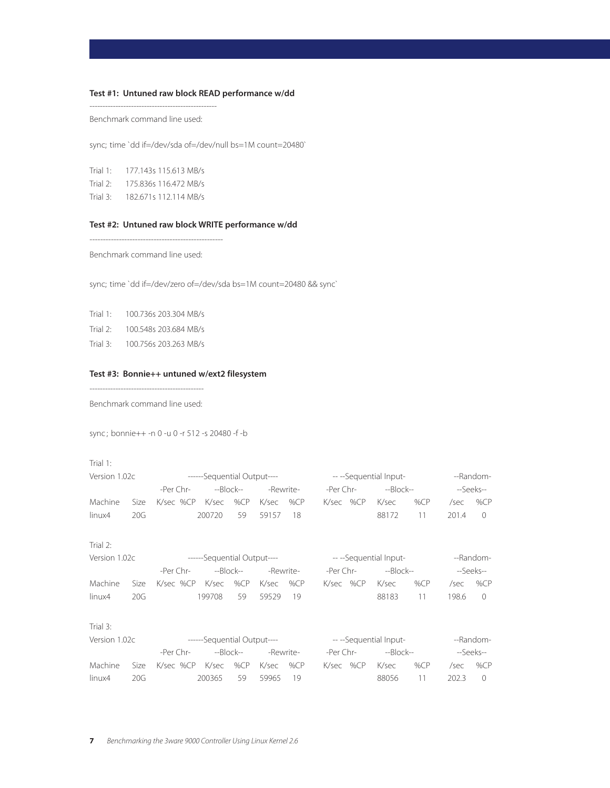# **Test #1: Untuned raw block READ performance w/dd**

------------------------------------------------- Benchmark command line used:

sync; time `dd if=/dev/sda of=/dev/null bs=1M count=20480`

Trial 1: 177.143s 115.613 MB/s Trial 2: 175.836s 116.472 MB/s Trial 3: 182.671s 112.114 MB/s

## **Test #2: Untuned raw block WRITE performance w/dd**

-------------------------------------------------- Benchmark command line used:

sync; time `dd if=/dev/zero of=/dev/sda bs=1M count=20480 && sync`

| Trial 1: |  | 100.736s 203.304 MB/s |
|----------|--|-----------------------|
|----------|--|-----------------------|

- Trial 2: 100.548s 203.684 MB/s
- Trial 3: 100.756s 203.263 MB/s

## **Test #3: Bonnie++ untuned w/ext2 filesystem**

--------------------------------------------

Benchmark command line used:

sync ; bonnie++ -n 0 -u 0 -r 512 -s 20480 -f -b

| Version 1.02c |      |                                                                            | ------Sequential Output---- |        |             |           |           | ---Sequential Input- | --Random- |     |       |                |
|---------------|------|----------------------------------------------------------------------------|-----------------------------|--------|-------------|-----------|-----------|----------------------|-----------|-----|-------|----------------|
|               |      | -Per Chr-                                                                  | --Block--                   |        |             | -Rewrite- | -Per Chr- |                      | $-Block-$ |     |       | --Seeks--      |
| Machine       | Size | K/sec %CP                                                                  | K/sec                       | % $CP$ | K/sec       | % $CP$    | K/sec %CP |                      | K/sec     | %CP | /sec  | % $CP$         |
| linux4        | 20G  |                                                                            | 200720                      | 59     | 59157       | 18        |           |                      | 88172     | 11  | 201.4 | $\Omega$       |
| Trial $2$ :   |      |                                                                            |                             |        |             |           |           |                      |           |     |       |                |
| Version 1.02c |      | ------Sequential Output---- The Contract Contract of the Sequential Input- |                             |        |             |           |           |                      |           |     |       | --Random-      |
|               |      | -Per Chr-                                                                  | --Block--                   |        |             | -Rewrite- | -Per Chr- |                      | --Block-- |     |       | --Seeks--      |
| Machine       | Size | K/sec %CP K/sec                                                            |                             | %CP    | K/sec       | % $CP$    | K/sec %CP |                      | K/sec     | %CP | /sec  | % $CP$         |
| linux4        | 20G  |                                                                            | 199708                      | 59     | 59529       | 19        |           |                      | 88183     | 11  | 198.6 | $\overline{0}$ |
| Trial $3:$    |      |                                                                            |                             |        |             |           |           |                      |           |     |       |                |
| Version 1.02c |      | ------Sequential Output---- The Contract Contract of the Sequential Input- |                             |        |             |           |           |                      |           |     |       | --Random-      |
|               |      | -Per Chr-                                                                  | --Block--                   |        |             | -Rewrite- |           | -Per Chr-            | $-Block-$ |     |       | --Seeks--      |
| Machine       | Size | K/sec %CP K/sec %CP                                                        |                             |        | $K/sec$ %CP |           | K/sec %CP |                      | K/sec     | %CP | /sec  | %CP            |
| linux4        | 20G  |                                                                            | 200365                      | 59     | 59965       | 19        |           |                      | 88056     | 11  | 202.3 | $\mathbf{0}$   |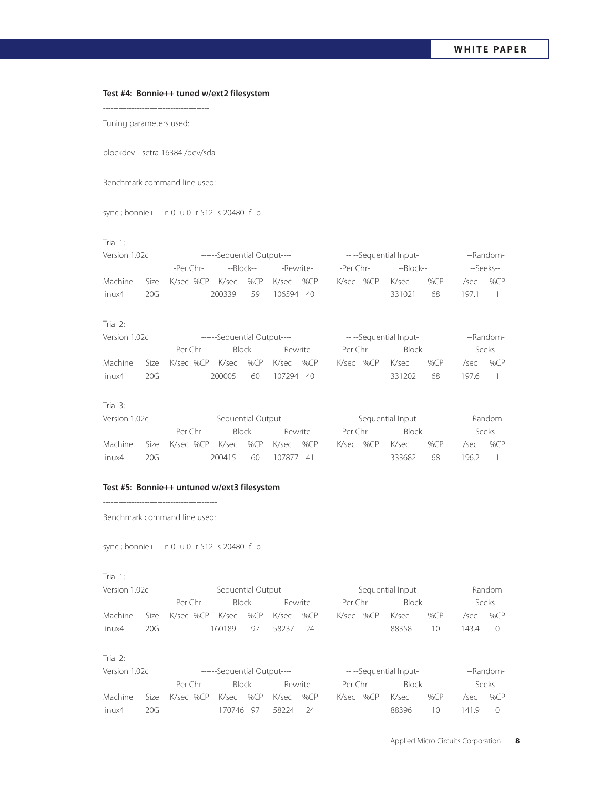## **Test #4: Bonnie++ tuned w/ext2 filesystem**

Tuning parameters used:

blockdev --setra 16384 /dev/sda

-----------------------------------------

Benchmark command line used:

sync ; bonnie++ -n 0 -u 0 -r 512 -s 20480 -f -b

## Trial 1:

| Version 1.02c |      |                     |           |    | ------Sequential Output---- |  | ----Sequential Input- |           |  |           |        | --Random- |                                         |  |
|---------------|------|---------------------|-----------|----|-----------------------------|--|-----------------------|-----------|--|-----------|--------|-----------|-----------------------------------------|--|
|               |      | -Per $Chr-$         | --Block-- |    | -Rewrite-                   |  |                       | -Per Chr- |  | --Block-- |        | --Seeks-- |                                         |  |
| Machine       | Size | K/sec %CP K/sec %CP |           |    | K/sec %CP                   |  |                       | K/sec %CP |  | K/sec     | % $CP$ | /sec      | % $CP$                                  |  |
| linux4        | 20G  |                     | 200339    | 59 | 106594 40                   |  |                       |           |  | 331021    | 68     | 1971      | $\begin{array}{ccc} \hline \end{array}$ |  |
| Trial $2$ :   |      |                     |           |    |                             |  |                       |           |  |           |        |           |                                         |  |

| Version 1.02c |     |                                            | ------Sequential Output---- |    |           |  | ----Sequential Input- | --Random- |                 |     |           |     |
|---------------|-----|--------------------------------------------|-----------------------------|----|-----------|--|-----------------------|-----------|-----------------|-----|-----------|-----|
|               |     | -Per Chr-                                  | --Block--                   |    | -Rewrite- |  | -Per Chr-             |           | --Block--       |     | --Seeks-- |     |
|               |     | Machine Size K/sec %CP K/sec %CP K/sec %CP |                             |    |           |  |                       |           | K/sec %CP K/sec | %CP | /sec /    | %CP |
| linux4        | 20G |                                            | 200005                      | 60 | 107294 40 |  |                       |           | 331202          | -68 | 197.6 1   |     |

## Trial 3:

| Version 1.02c |      |                                     | ------Sequential Output---- |  |           | ---Sequential Input- | --Random- |     |           |         |
|---------------|------|-------------------------------------|-----------------------------|--|-----------|----------------------|-----------|-----|-----------|---------|
|               |      | -Per Chr-<br>--Block--<br>-Rewrite- |                             |  | -Per Chr- |                      | --Block-- |     | --Seeks-- |         |
| Machine       |      | Size K/sec %CP K/sec %CP K/sec %CP  |                             |  |           | K/sec %CP            | K/sec     | %CP | /sec      | %CP     |
| linux4        | 20G. |                                     | 200415 60 107877 41         |  |           |                      | 333682    | 68  |           | 196.2 1 |

## **Test #5: Bonnie++ untuned w/ext3 filesystem**

-------------------------------------------- Benchmark command line used:

sync ; bonnie++ -n 0 -u 0 -r 512 -s 20480 -f -b

## Trial 1:

| Version 1.02c |      |                                    | ------Sequential Output---- |    |           |  | ---Sequential Input- |  | --Random-       |     |        |           |
|---------------|------|------------------------------------|-----------------------------|----|-----------|--|----------------------|--|-----------------|-----|--------|-----------|
|               |      | -Per Chr-                          | --Block--                   |    | -Rewrite- |  | -Per Chr-            |  | --Block--       |     |        | --Seeks-- |
| Machine       |      | Size K/sec %CP K/sec %CP K/sec %CP |                             |    |           |  |                      |  | K/sec %CP K/sec | %CP | /sec   | %CP       |
| linux4        | 20G. |                                    | 160189                      | 97 | 58237 24  |  |                      |  | 88358           | 10  | 1434 0 |           |

#### Trial 2:

| Version 1.02c |     |                                    | ------Sequential Output---- |  |                    |  | ---Sequential Input- | --Random- |                                                 |           |     |  |
|---------------|-----|------------------------------------|-----------------------------|--|--------------------|--|----------------------|-----------|-------------------------------------------------|-----------|-----|--|
|               |     | -Per Chr-                          | --Block--                   |  | -Rewrite-          |  | -Per Chr-            | --Block-- |                                                 | --Seeks-- |     |  |
| Machine       |     | Size K/sec %CP K/sec %CP K/sec %CP |                             |  |                    |  | K/sec %CP            | K/sec     | %CP                                             | /sec      | %CP |  |
| linux4        | 20G |                                    |                             |  | 170746 97 58224 24 |  |                      | 88396     | $\left( \begin{array}{c} 1 \end{array} \right)$ | 1419 0    |     |  |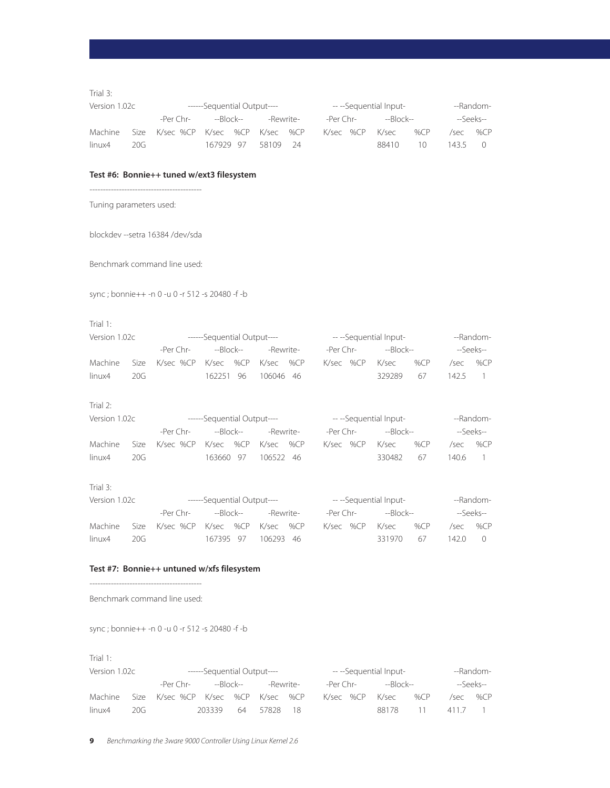Trial 3:

| Version 1.02c |      |                                    | ------Sequential Output---- |  |                    |           |  | ---Sequential Input- |                 | --Random- |            |  |
|---------------|------|------------------------------------|-----------------------------|--|--------------------|-----------|--|----------------------|-----------------|-----------|------------|--|
|               |      | -Per Chr-                          | --Block--                   |  |                    | -Rewrite- |  | -Per Chr-            |                 | --Block-- | --Seeks--  |  |
| Machine       |      | Size K/sec %CP K/sec %CP K/sec %CP |                             |  |                    |           |  |                      | K/sec %CP K/sec | %CP       | $/sec$ %CP |  |
| linux4        | 20G. |                                    |                             |  | 167929 97 58109 24 |           |  |                      | 88410           | 10.       | 143.5      |  |

## **Test #6: Bonnie++ tuned w/ext3 filesystem**

------------------------------------------

Tuning parameters used:

blockdev --setra 16384 /dev/sda

Benchmark command line used:

sync ; bonnie++ -n 0 -u 0 -r 512 -s 20480 -f -b

#### Trial 1:

| Version 1.02c |     |                                    | ------Sequential Output---- |  |           |  | ---Sequential Input- |  | --Random-       |     |           |     |
|---------------|-----|------------------------------------|-----------------------------|--|-----------|--|----------------------|--|-----------------|-----|-----------|-----|
|               |     |                                    |                             |  | -Rewrite- |  | -Per Chr-            |  | --Block--       |     | --Seeks-- |     |
| Machine       |     | Size K/sec %CP K/sec %CP K/sec %CP |                             |  |           |  |                      |  | K/sec %CP K/sec | %CP | /sec      | %CP |
| linux4        | 20G |                                    | 162251 96                   |  | 106046 46 |  |                      |  | 329289          | 67  | $142.5$ 1 |     |

## Trial 2:

| Version 1.02c |     |                                    | ------Sequential Output---- |  |                     |  | ---Sequential Input- |  | --Random-       |     |         |           |
|---------------|-----|------------------------------------|-----------------------------|--|---------------------|--|----------------------|--|-----------------|-----|---------|-----------|
|               |     |                                    |                             |  |                     |  |                      |  |                 |     |         | --Seeks-- |
| Machine       |     | Size K/sec %CP K/sec %CP K/sec %CP |                             |  |                     |  |                      |  | K/sec %CP K/sec | %CP | /sec    | %CP       |
| linux4        | 20G |                                    |                             |  | 163660 97 106522 46 |  |                      |  | 330482 67       |     | 140.6 1 |           |

## Trial 3:

| Version 1.02c |      |                                    | ------Sequential Output---- |           |           | ---Sequential Input- |  |                 |     | --Random-        |           |
|---------------|------|------------------------------------|-----------------------------|-----------|-----------|----------------------|--|-----------------|-----|------------------|-----------|
|               |      | -Per Chr-                          |                             | --Block-- | -Rewrite- | -Per Chr-            |  | --Block--       |     |                  | --Seeks-- |
| Machine       |      | Size K/sec %CP K/sec %CP K/sec %CP |                             |           |           |                      |  | K/sec %CP K/sec | %CP | /sec             | %CP       |
| linux4        | 20G. |                                    | 167395 97                   |           | 106293 46 |                      |  | 331970 67       |     | $142.0 \qquad 0$ |           |

## **Test #7: Bonnie++ untuned w/xfs filesystem**

Benchmark command line used:

sync ; bonnie++ -n 0 -u 0 -r 512 -s 20480 -f -b

| Version 1.02c |     | ------Sequential Output----        | ---Sequential Input- |           |           |  | --Random- |  |                 |       |         |           |
|---------------|-----|------------------------------------|----------------------|-----------|-----------|--|-----------|--|-----------------|-------|---------|-----------|
|               |     | -Per Chr-                          |                      | --Block-- | -Rewrite- |  | -Per Chr- |  | --Block--       |       |         | --Seeks-- |
| Machine       |     | Size K/sec %CP K/sec %CP K/sec %CP |                      |           |           |  |           |  | K/sec %CP K/sec | %CP   |         | /sec %CP  |
| linux4        | 20G |                                    | 203339 64            |           | 57828 18  |  |           |  | 88178           | -11 - | 411.7 1 |           |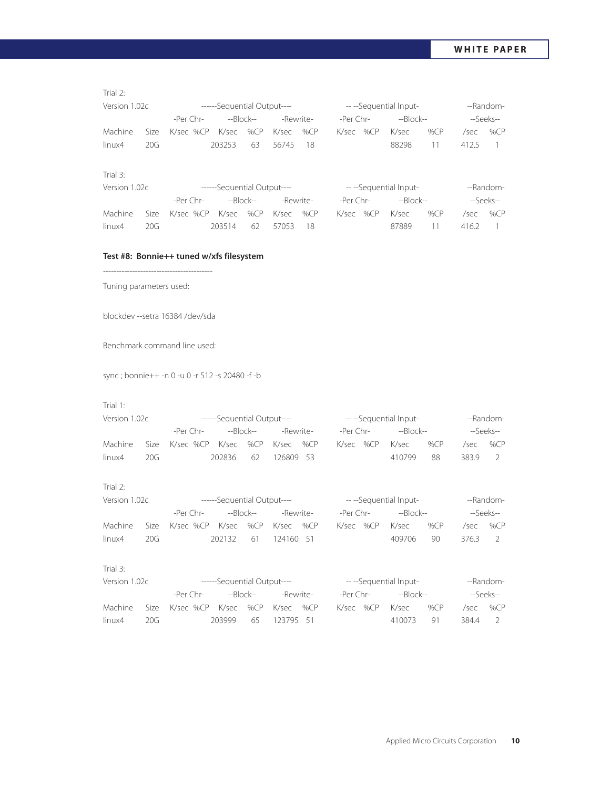Trial 2:

| Version 1.02c |      |                               | ------Sequential Output---- |           |           | ---Sequential Input- |           |           |        | --Random- |           |
|---------------|------|-------------------------------|-----------------------------|-----------|-----------|----------------------|-----------|-----------|--------|-----------|-----------|
|               |      | -Per Chr-                     |                             | --Block-- | -Rewrite- | -Per Chr-            |           | --Block-- |        |           | --Seeks-- |
| Machine       | Size | K/sec %CP K/sec %CP K/sec %CP |                             |           |           |                      | K/sec %CP | K/sec     | % $CP$ | /sec      | %CP       |
| linux4        | 20G  |                               | 203253                      | -63       | 56745 18  |                      |           | 88298     | 11     | 4125      |           |
|               |      |                               |                             |           |           |                      |           |           |        |           |           |

## Trial 3:

| Version 1.02c |      | ------Sequential Output----   | ---Sequential Input- |    |           |      | --Random- |           |           |        |         |           |
|---------------|------|-------------------------------|----------------------|----|-----------|------|-----------|-----------|-----------|--------|---------|-----------|
|               |      | -Per Chr-                     | --Block--            |    | -Rewrite- |      |           | -Per Chr- | --Block-- |        |         | --Seeks-- |
| Machine       | Size | K/sec %CP K/sec %CP K/sec %CP |                      |    |           |      |           | K/sec %CP | K/sec     | % $CP$ | /sec    | %CP       |
| linux4        | 20G. |                               | 203514               | 62 | 57053     | - 18 |           |           | 87889     | 11.    | 416.2 1 |           |

## **Test #8: Bonnie++ tuned w/xfs filesystem**

Tuning parameters used:

blockdev --setra 16384 /dev/sda

-----------------------------------------

Benchmark command line used:

sync ; bonnie++ -n 0 -u 0 -r 512 -s 20480 -f -b

## Trial 1:

| Version 1.02c |      | ------Sequential Output----        | ---Sequential Input- |           |           |  | --Random- |                 |     |        |           |
|---------------|------|------------------------------------|----------------------|-----------|-----------|--|-----------|-----------------|-----|--------|-----------|
|               |      | -Per Chr-                          |                      | --Block-- | -Rewrite- |  | -Per Chr- | --Block--       |     |        | --Seeks-- |
| Machine       |      | Size K/sec %CP K/sec %CP K/sec %CP |                      |           |           |  |           | K/sec %CP K/sec | %CP | /sec   | %CP       |
| linux4        | 20G. |                                    | 202836 62            |           | 126809 53 |  |           | 410799          | -88 | 3839 2 |           |

Trial 2:

| Version 1.02c |       |                                    | ------Sequential Output---- |           | ---Sequential Input- |  |                 |     | --Random- |           |
|---------------|-------|------------------------------------|-----------------------------|-----------|----------------------|--|-----------------|-----|-----------|-----------|
|               |       | -Per Chr-                          | --Block--                   | -Rewrite- | -Per Chr-            |  | --Block--       |     |           | --Seeks-- |
| Machine       |       | Size K/sec %CP K/sec %CP K/sec %CP |                             |           |                      |  | K/sec %CP K/sec | %CP | /sec      | %CP       |
| linux4        | 20G - |                                    | 202132 61                   | 124160 51 |                      |  | 409706          | 90  | 376.3 2   |           |

## Trial 3:

| Version 1.02c |     | ------Sequential Output----        | ---Sequential Input- |           |           |  | --Random- |  |                 |     |         |           |
|---------------|-----|------------------------------------|----------------------|-----------|-----------|--|-----------|--|-----------------|-----|---------|-----------|
|               |     | -Per Chr-                          |                      | --Block-- | -Rewrite- |  | -Per Chr- |  | --Block--       |     |         | --Seeks-- |
| Machine       |     | Size K/sec %CP K/sec %CP K/sec %CP |                      |           |           |  |           |  | K/sec %CP K/sec | %CP | /sec    | %CP       |
| linux4        | 20G |                                    | 203999 65            |           | 123795 51 |  |           |  | 410073          | -91 | 384.4 2 |           |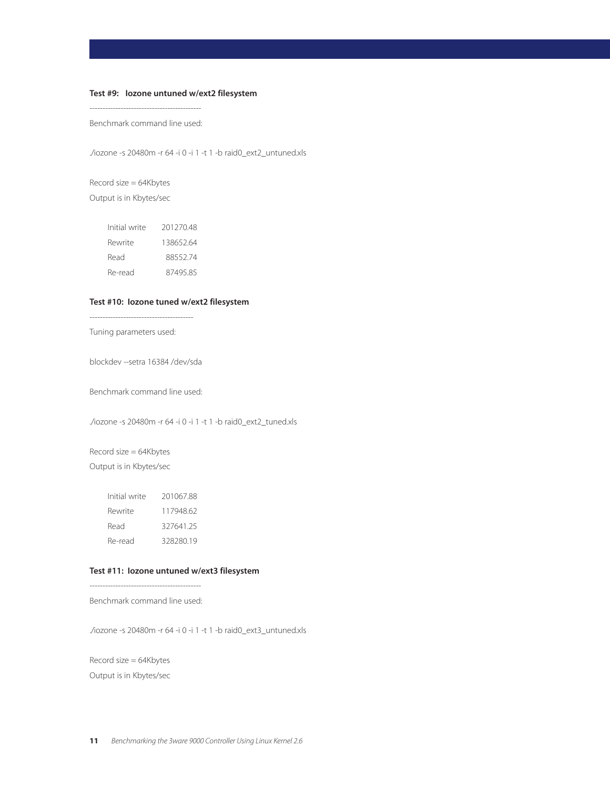## **Test #9: Iozone untuned w/ext2 filesystem**

------------------------------------------- Benchmark command line used:

./iozone -s 20480m -r 64 -i 0 -i 1 -t 1 -b raid0\_ext2\_untuned.xls

Record size = 64Kbytes Output is in Kbytes/sec

| Initial write | 20127048  |
|---------------|-----------|
| Rewrite       | 138652.64 |
| Read          | 8855274   |
| Re-read       | 8749585   |

## **Test #10: Iozone tuned w/ext2 filesystem**

Tuning parameters used:

blockdev --setra 16384 /dev/sda

Benchmark command line used:

./iozone -s 20480m -r 64 -i 0 -i 1 -t 1 -b raid0\_ext2\_tuned.xls

Record size = 64Kbytes Output is in Kbytes/sec

| Initial write | 20106788 |
|---------------|----------|
| Rewrite       | 11794862 |
| Read          | 32764125 |
| Re-read       | 32828019 |

## **Test #11: Iozone untuned w/ext3 filesystem**

-------------------------------------------

Benchmark command line used:

./iozone -s 20480m -r 64 -i 0 -i 1 -t 1 -b raid0\_ext3\_untuned.xls

Record size = 64Kbytes Output is in Kbytes/sec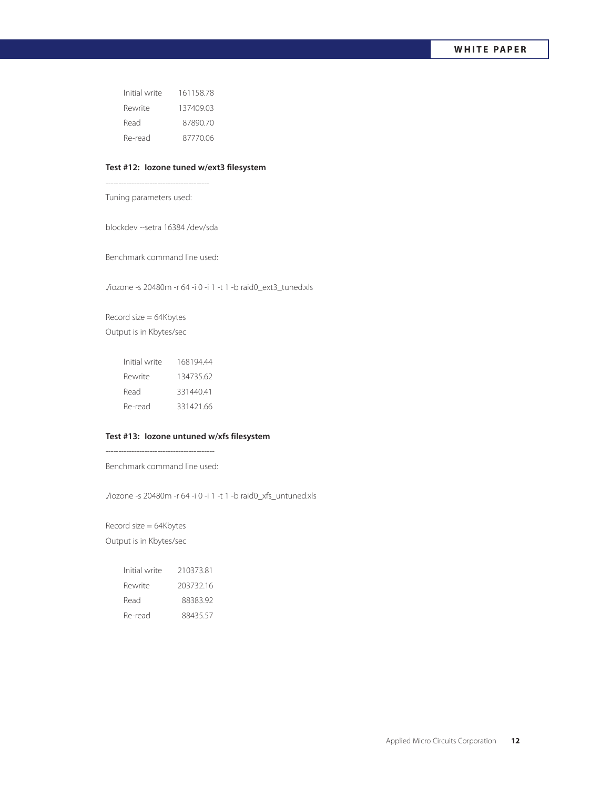| Initial write | 16115878  |
|---------------|-----------|
| Rewrite       | 137409.03 |
| Read          | 8789070   |
| Re-read       | 87770.06  |

#### **Test #12: Iozone tuned w/ext3 filesystem**

----------------------------------------

Tuning parameters used:

blockdev --setra 16384 /dev/sda

Benchmark command line used:

./iozone -s 20480m -r 64 -i 0 -i 1 -t 1 -b raid0\_ext3\_tuned.xls

Record size = 64Kbytes Output is in Kbytes/sec

| Initial write | 16819444  |
|---------------|-----------|
| Rewrite       | 134735.62 |
| Read          | 331440.41 |
| Re-read       | 331421.66 |

## **Test #13: Iozone untuned w/xfs filesystem**

------------------------------------------ Benchmark command line used:

./iozone -s 20480m -r 64 -i 0 -i 1 -t 1 -b raid0\_xfs\_untuned.xls

Record size = 64Kbytes Output is in Kbytes/sec

| Initial write | 21037381  |
|---------------|-----------|
| Rewrite       | 203732.16 |
| Read          | 8838392   |
| Re-read       | 8843557   |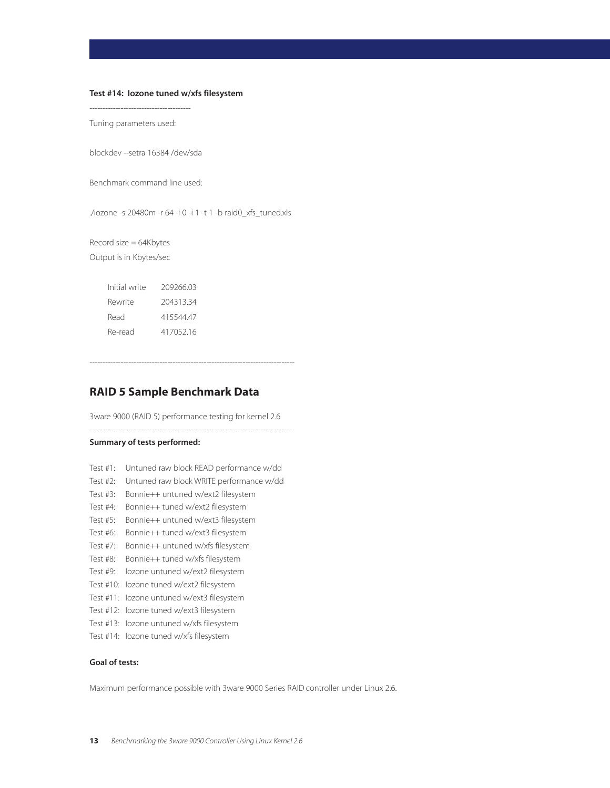#### **Test #14: Iozone tuned w/xfs filesystem**

---------------------------------------

Tuning parameters used:

blockdev --setra 16384 /dev/sda

Benchmark command line used:

./iozone -s 20480m -r 64 -i 0 -i 1 -t 1 -b raid0\_xfs\_tuned.xls

Record size = 64Kbytes Output is in Kbytes/sec

| Initial write | 209266.03 |
|---------------|-----------|
| Rewrite       | 204313.34 |
| Read          | 41554447  |
| Re-read       | 41705216  |

# **RAID 5 Sample Benchmark Data**

3ware 9000 (RAID 5) performance testing for kernel 2.6 ------------------------------------------------------------------------------

-------------------------------------------------------------------------------

## **Summary of tests performed:**

- Test #1: Untuned raw block READ performance w/dd
- Test #2: Untuned raw block WRITE performance w/dd
- Test #3: Bonnie++ untuned w/ext2 filesystem
- Test #4: Bonnie++ tuned w/ext2 filesystem
- Test #5: Bonnie++ untuned w/ext3 filesystem
- Test #6: Bonnie++ tuned w/ext3 filesystem
- Test #7: Bonnie++ untuned w/xfs filesystem
- Test #8: Bonnie++ tuned w/xfs filesystem
- Test #9: Iozone untuned w/ext2 filesystem
- Test #10: Iozone tuned w/ext2 filesystem
- Test #11: Iozone untuned w/ext3 filesystem
- Test #12: Iozone tuned w/ext3 filesystem
- Test #13: Iozone untuned w/xfs filesystem
- Test #14: Iozone tuned w/xfs filesystem

#### **Goal of tests:**

Maximum performance possible with 3ware 9000 Series RAID controller under Linux 2.6.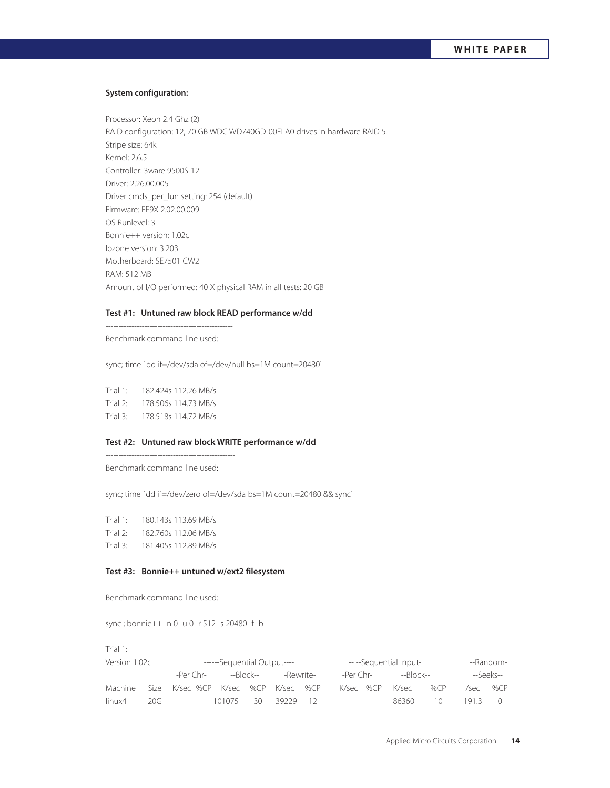## **System configuration:**

Processor: Xeon 2.4 Ghz (2) RAID configuration: 12, 70 GB WDC WD740GD-00FLA0 drives in hardware RAID 5. Stripe size: 64k Kernel: 2.6.5 Controller: 3ware 9500S-12 Driver: 2.26.00.005 Driver cmds\_per\_lun setting: 254 (default) Firmware: FE9X 2.02.00.009 OS Runlevel: 3 Bonnie++ version: 1.02c Iozone version: 3.203 Motherboard: SE7501 CW2 RAM: 512 MB Amount of I/O performed: 40 X physical RAM in all tests: 20 GB

#### **Test #1: Untuned raw block READ performance w/dd**

------------------------------------------------- Benchmark command line used:

sync; time `dd if=/dev/sda of=/dev/null bs=1M count=20480`

Trial 1: 182.424s 112.26 MB/s Trial 2: 178.506s 114.73 MB/s Trial 3: 178.518s 114.72 MB/s

## **Test #2: Untuned raw block WRITE performance w/dd**

Benchmark command line used:

--------------------------------------------------

sync; time `dd if=/dev/zero of=/dev/sda bs=1M count=20480 && sync`

Trial 1: 180.143s 113.69 MB/s Trial 2: 182.760s 112.06 MB/s Trial 3: 181.405s 112.89 MB/s

#### **Test #3: Bonnie++ untuned w/ext2 filesystem**

-------------------------------------------- Benchmark command line used:

sync ; bonnie++ -n 0 -u 0 -r 512 -s 20480 -f -b

| Version 1.02c |     |                                    | ------Sequential Output---- |  |          |           |           |       | ---Sequential Input- |           |      | --Random- |
|---------------|-----|------------------------------------|-----------------------------|--|----------|-----------|-----------|-------|----------------------|-----------|------|-----------|
| -Per Chr-     |     | --Block--                          | -Rewrite-                   |  |          | -Per Chr- | --Block-- |       |                      | --Seeks-- |      |           |
| Machine       |     | Size K/sec %CP K/sec %CP K/sec %CP |                             |  |          |           |           |       | K/sec %CP K/sec      | %CP       | /sec | %CP       |
| linux4        | 20G | 101075 30                          |                             |  | 39229 12 |           |           | 86360 | 10 L                 | 1913 0    |      |           |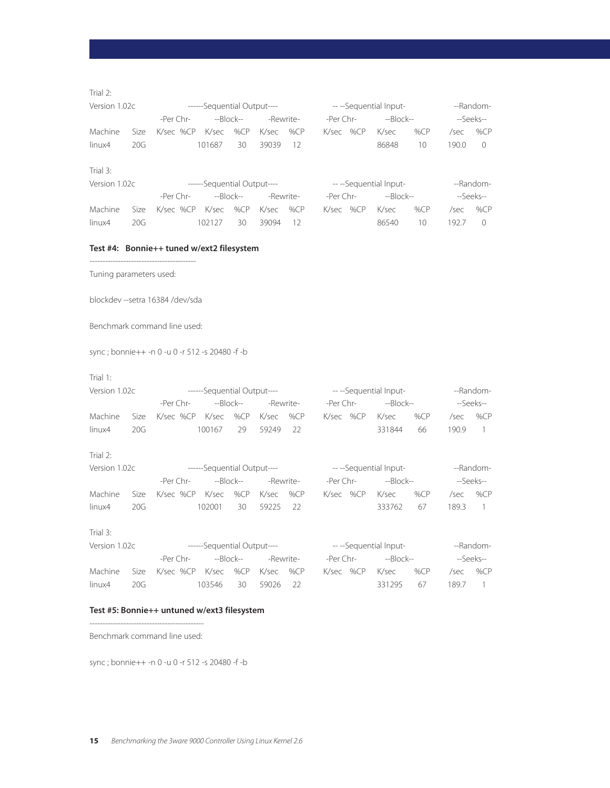## Trial 2:

| Version 1.02c |     |                                    | ------Sequential Output---- |           |           | ---Sequential Input- |     |                  | --Random- |
|---------------|-----|------------------------------------|-----------------------------|-----------|-----------|----------------------|-----|------------------|-----------|
|               |     |                                    |                             | -Rewrite- | -Per Chr- | --Block--            |     |                  | --Seeks-- |
| Machine       |     | Size K/sec %CP K/sec %CP K/sec %CP |                             |           | K/sec %CP | K/sec                | %CP | /sec             | %CP       |
| linux4        | 20G |                                    | 101687 30                   | 39039 12  |           | 86848                | 10  | $190.0 \qquad 0$ |           |
|               |     |                                    |                             |           |           |                      |     |                  |           |

# Trial 3:

| Version 1.02c |      |                                    | ------Sequential Output---- |           |           |           | ---Sequential Input- |          |        | --Random- |
|---------------|------|------------------------------------|-----------------------------|-----------|-----------|-----------|----------------------|----------|--------|-----------|
|               |      | -Per Chr-                          |                             | --Block-- | -Rewrite- | -Per Chr- | --Block--            |          |        | --Seeks-- |
| Machine       |      | Size K/sec %CP K/sec %CP K/sec %CP |                             |           |           | K/sec %CP | . K/sec              | %CP      | /sec   | %CP       |
| linux4        | 20G. |                                    | 102127                      | 30.       | 39094 12  |           | 86540                | $10^{-}$ | 1927 0 |           |

## **Test #4: Bonnie++ tuned w/ext2 filesystem**

----------------------------------------- Tuning parameters used:

blockdev --setra 16384 /dev/sda

Benchmark command line used:

sync ; bonnie++ -n 0 -u 0 -r 512 -s 20480 -f -b

## Trial 1:

| Version 1.02c |      |                               | ------Sequential Output---- |     |           |           | ---Sequential Input- |     |      | --Random- |
|---------------|------|-------------------------------|-----------------------------|-----|-----------|-----------|----------------------|-----|------|-----------|
|               |      | -Per Chr-                     | --Block--                   |     | -Rewrite- | -Per Chr- | --Block--            |     |      | --Seeks-- |
| Machine       | Size | K/sec %CP K/sec %CP K/sec %CP |                             |     |           | K/sec %CP | K/sec                | %CP | /sec | %CP       |
| linux4        | 20G  |                               | 100167                      | -29 | 59249 22  |           | 331844               | 66  | 1909 |           |
| Trial $2$ :   |      |                               |                             |     |           |           |                      |     |      |           |

| Version 1.02c |      |                               | ------Sequential Output---- |           |           |           | ---Sequential Input- |        |      | --Random- |
|---------------|------|-------------------------------|-----------------------------|-----------|-----------|-----------|----------------------|--------|------|-----------|
|               |      | -Per Chr-                     |                             | --Block-- | -Rewrite- | -Per Chr- | --Block--            |        |      | --Seeks-- |
| Machine       | Size | K/sec %CP K/sec %CP K/sec %CP |                             |           |           | K/sec %CP | K/sec                | % $CP$ | /sec | %CP       |
| linux4        | 20G  |                               | 102001                      | 30        | 59225 22  |           | 333762               | 67     | 1893 |           |

Trial 3:

| Version 1.02c |                   |                                    | ------Sequential Output---- |           |           |           |           | ---Sequential Input- |       |  | --Random- |
|---------------|-------------------|------------------------------------|-----------------------------|-----------|-----------|-----------|-----------|----------------------|-------|--|-----------|
|               |                   | -Per Chr-                          |                             | --Block-- | -Rewrite- | -Per Chr- |           | --Block--            |       |  | --Seeks-- |
| Machine       |                   | Size K/sec %CP K/sec %CP K/sec %CP |                             |           |           |           | K/sec %CP | K/sec                | %CP   |  | /sec %CP  |
| linux4        | 20G.<br>103546 30 |                                    |                             | 59026 22  |           |           | 331295    | - 67                 | 189.7 |  |           |

## **Test #5: Bonnie++ untuned w/ext3 filesystem**

-------------------------------------------- Benchmark command line used:

sync ; bonnie++ -n 0 -u 0 -r 512 -s 20480 -f -b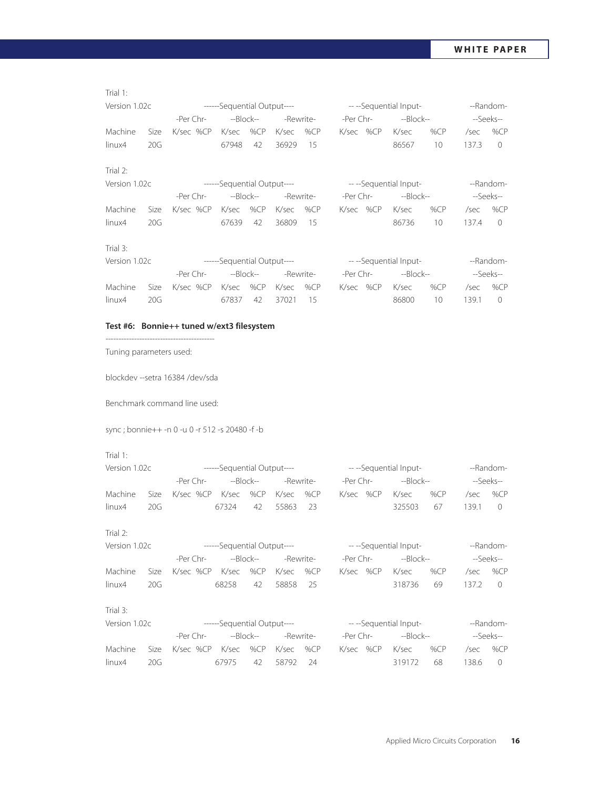| Trial 1:      |      |                                                                            |           |                        |       |           |           |           |                     |        |       |                |
|---------------|------|----------------------------------------------------------------------------|-----------|------------------------|-------|-----------|-----------|-----------|---------------------|--------|-------|----------------|
| Version 1.02c |      | ------Sequential Output---- The Contract Contract of the Sequential Input- |           |                        |       |           |           |           |                     |        |       | --Random-      |
|               |      | -Per Chr-                                                                  | $-Block-$ |                        |       | -Rewrite- | -Per Chr- |           | --Block--           |        |       | --Seeks--      |
| Machine       | Size | K/sec %CP                                                                  | K/sec %CP |                        | K/sec | %CP       |           | K/sec %CP | K/sec               | %CP    | /sec  | %CP            |
| linux4        | 20G  |                                                                            | 67948     | 42                     | 36929 | 15        |           |           | 86567               | 10     | 137.3 | $\overline{0}$ |
| Trial 2:      |      |                                                                            |           |                        |       |           |           |           |                     |        |       |                |
| Version 1.02c |      | ------Sequential Output---- The Controller Sequential Input-               |           |                        |       |           |           |           |                     |        |       | --Random-      |
|               |      | -Per Chr-                                                                  |           | --Block--<br>-Rewrite- |       |           |           |           | -Per Chr- --Block-- |        |       | --Seeks--      |
| Machine       | Size | K/sec %CP K/sec %CP                                                        |           |                        | K/sec | %CP       |           | K/sec %CP | K/sec               | % $CP$ | /sec  | %CP            |
| linux4        | 20G  |                                                                            | 67639     | 42                     | 36809 | 15        |           |           | 86736               | 10     | 137.4 | $\overline{0}$ |
| Trial 3:      |      |                                                                            |           |                        |       |           |           |           |                     |        |       |                |
| Version 1.02c |      | ------Sequential Output----<br>-------Sequential Output----                |           |                        |       |           |           |           |                     |        |       | --Random-      |
|               |      | -Per Chr-                                                                  | --Block-- |                        |       | -Rewrite- |           |           | -Per Chr- --Block-- |        |       | --Seeks--      |
| Machine       | Size | K/sec %CP K/sec %CP                                                        |           |                        | K/sec | %CP       |           | K/sec %CP | K/sec               | %CP    | /sec  | % $CP$         |
| linux4        | 20G  |                                                                            | 67837     | 42                     | 37021 | 15        |           |           | 86800               | 10     | 139.1 | $\overline{0}$ |
|               |      | Test #6: Bonnie++ tuned w/ext3 filesystem                                  |           |                        |       |           |           |           |                     |        |       |                |

Tuning parameters used:

blockdev --setra 16384 /dev/sda

------------------------------------------

Benchmark command line used:

sync ; bonnie++ -n 0 -u 0 -r 512 -s 20480 -f -b

| Version 1.02c |      |                             | ------Sequential Output---- |        |       |           |           | ---Sequential Input-    |     |       | --Random-      |
|---------------|------|-----------------------------|-----------------------------|--------|-------|-----------|-----------|-------------------------|-----|-------|----------------|
|               |      | -Per Chr-                   | $-Block--$                  |        |       | -Rewrite- | -Per Chr- | --Block--               |     |       | --Seeks--      |
| Machine       | Size | K/sec %CP                   | K/sec                       | % $CP$ | K/sec | % $CP$    | K/sec %CP | K/sec                   | %CP | /sec  | %CP            |
| linux4        | 20G  |                             | 67324                       | 42     | 55863 | 23        |           | 325503                  | 67  | 139.1 | $\Omega$       |
| Trial 2:      |      |                             |                             |        |       |           |           |                         |     |       |                |
| Version 1.02c |      | ------Sequential Output---- |                             |        |       |           |           | -- --Sequential Input-  |     |       | --Random-      |
|               |      | -Per Chr-                   | --Block--                   |        |       | -Rewrite- | -Per Chr- | --Block--               |     |       | --Seeks--      |
| Machine       | Size | K/sec %CP                   | K/sec                       | %CP    | K/sec | % $CP$    | K/sec %CP | K/sec                   | %CP | /sec  | % $CP$         |
| linux4        | 20G  |                             | 68258                       | 42     | 58858 | 25        |           | 318736                  | 69  | 137.2 | $\overline{0}$ |
| Trial 3:      |      |                             |                             |        |       |           |           |                         |     |       |                |
| Version 1.02c |      | ------Sequential Output---- |                             |        |       |           |           | -- -- Sequential Input- |     |       | --Random-      |
|               |      | -Per Chr-                   | --Block--                   |        |       | -Rewrite- | -Per Chr- | --Block--               |     |       | --Seeks--      |
| Machine       | Size | K/sec %CP                   | K/sec                       | %CP    | K/sec | %CP       | K/sec %CP | K/sec                   | %CP | /sec  | %CP            |
| linux4        | 20G  |                             | 67975                       | 42     | 58792 | 24        |           | 319172                  | 68  | 138.6 | $\overline{0}$ |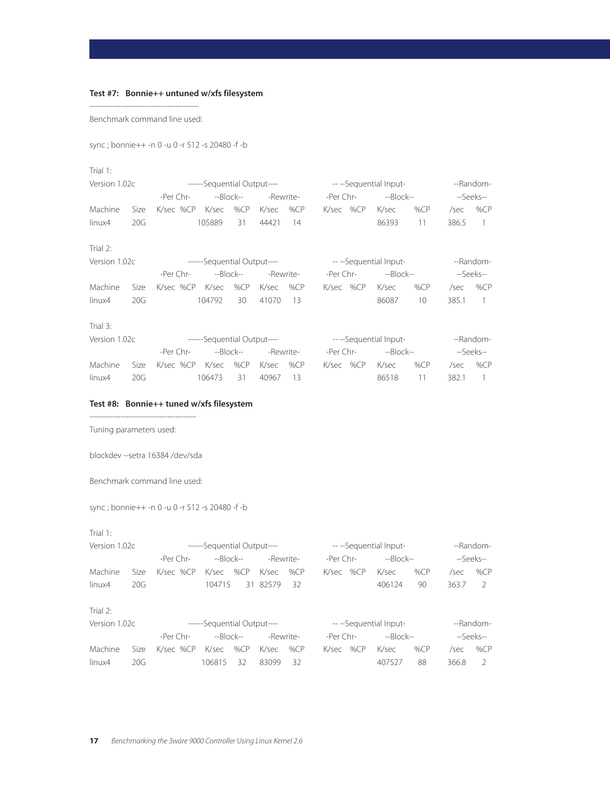# **Test #7: Bonnie++ untuned w/xfs filesystem**

------------------------------------------ Benchmark command line used:

sync ; bonnie++ -n 0 -u 0 -r 512 -s 20480 -f -b

#### Trial 1:

| Version 1.02c |      |                                     | ------Sequential Output---- |        |           |        |           |                        | ---Sequential Input-   |     |       | --Random-      |
|---------------|------|-------------------------------------|-----------------------------|--------|-----------|--------|-----------|------------------------|------------------------|-----|-------|----------------|
|               |      | -Per Chr-                           | --Block--                   |        | -Rewrite- |        | -Per Chr- |                        | $-Block-$              |     |       | --Seeks--      |
| Machine       | Size | K/sec %CP                           | K/sec                       | % $CP$ | K/sec     | % $CP$ |           | K/sec %CP              | K/sec                  | %CP | /sec  | % $CP$         |
| linux4        | 20G  |                                     | 105889                      | 31     | 44421     | 14     |           |                        | 86393                  | 11  | 386.5 | $\overline{1}$ |
| Trial 2:      |      |                                     |                             |        |           |        |           |                        |                        |     |       |                |
| Version 1.02c |      |                                     | ------Sequential Output---- |        |           |        |           |                        | -- --Sequential Input- |     |       | --Random-      |
|               |      | -Per Chr-<br>--Block--<br>-Rewrite- |                             |        |           |        |           | -Per Chr-<br>--Block-- |                        |     |       | --Seeks--      |
| Machine       | Size | K/sec %CP                           | K/sec                       | %CP    | K/sec     | % $CP$ |           | K/sec %CP              | K/sec                  | %CP | /sec  | % $CP$         |
| linux4        | 20G  |                                     | 104792                      | 30     | 41070     | 13     |           |                        | 86087                  | 10  | 385.1 | 1              |
| Trial 3:      |      |                                     |                             |        |           |        |           |                        |                        |     |       |                |
| Version 1.02c |      |                                     | ------Sequential Output---- |        |           |        |           |                        | ---Sequential Input-   |     |       | --Random-      |
|               |      | -Per Chr-<br>--Block--              |                             |        | -Rewrite- |        | -Per Chr- |                        | $-Block-$              |     |       | --Seeks--      |
| Machine       | Size | K/sec %CP                           | K/sec                       | %CP    | K/sec     | % $CP$ |           | K/sec %CP              | K/sec                  | %CP | /sec  | % $CP$         |
| linux4        | 20G  |                                     | 106473                      | 31     | 40967     | 13     |           |                        | 86518                  | 11  | 382.1 |                |

## **Test #8: Bonnie++ tuned w/xfs filesystem**

----------------------------------------- Tuning parameters used:

blockdev --setra 16384 /dev/sda

Benchmark command line used:

sync ; bonnie++ -n 0 -u 0 -r 512 -s 20480 -f -b

| Version 1.02c |                        |             | ------Sequential Output---- |        |           |        |       |           | ---Sequential Input- |        |       | --Random-     |
|---------------|------------------------|-------------|-----------------------------|--------|-----------|--------|-------|-----------|----------------------|--------|-------|---------------|
|               |                        | -Per Chr-   | $-Block-$                   |        | -Rewrite- |        |       | -Per Chr- | $-Block-$            |        |       | --Seeks--     |
| Machine       | Size.                  | $K/sec$ %CP | K/sec                       | % $CP$ | K/sec     | % $CP$ | K/sec | %CP       | K/sec                | % $CP$ | /sec  | % $CP$        |
| linux4        | 20G                    |             | 104715                      |        | 31 82579  | 32     |       |           | 406124               | 90     | 363.7 | -2            |
| Trial $2$ :   |                        |             |                             |        |           |        |       |           |                      |        |       |               |
| Version 1.02c |                        |             | ------Sequential Output---- |        |           |        |       |           | ---Sequential Input- |        |       | --Random-     |
|               | $-Block-$<br>-Per Chr- |             |                             |        | -Rewrite- |        |       | -Per Chr- | --Block--            |        |       | --Seeks--     |
| Machine       | Size.                  | $K/sec$ %CP | K/sec                       | % $CP$ | K/sec     | % $CP$ | K/sec | % $CP$    | K/sec                | %CP    | /sec  | % $CP$        |
| linux4        | 20G                    |             | 106815                      | 32     | 83099     | 32     |       |           | 407527               | 88     | 366.8 | $\mathcal{L}$ |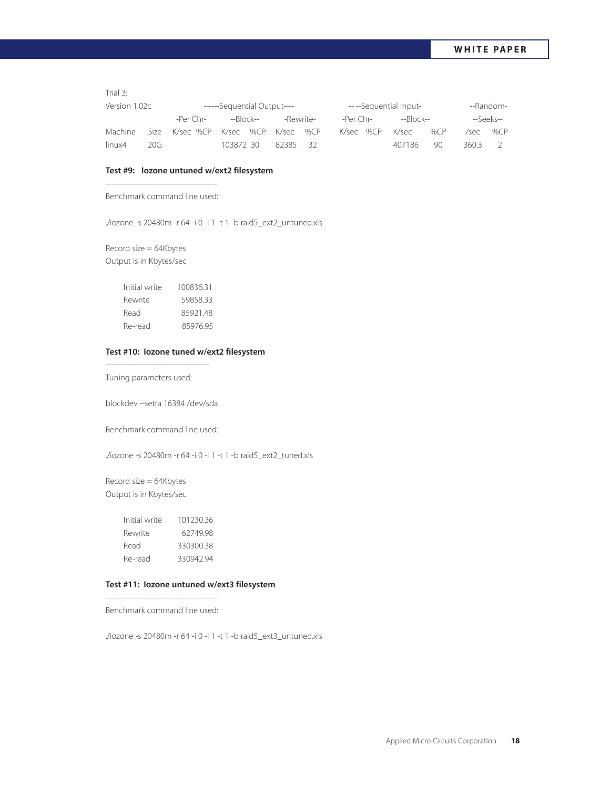Trial 3:

| Version 1.02c                                                |           |           | ------Sequential Output---- |          |  |           | ---Sequential Input- |       |  | --Random- |
|--------------------------------------------------------------|-----------|-----------|-----------------------------|----------|--|-----------|----------------------|-------|--|-----------|
| -Per Chr-<br>--Block--<br>Size K/sec %CP K/sec %CP K/sec %CP | -Rewrite- | -Per Chr- | --Block--                   |          |  | --Seeks-- |                      |       |  |           |
| Machine                                                      |           |           |                             |          |  | K/sec %CP | K/sec                | %CP   |  | /sec %CP  |
| linux4                                                       | 20G       | 103872 30 |                             | 82385 32 |  | 407186    | 90                   | 360.3 |  |           |

#### **Test #9: Iozone untuned w/ext2 filesystem**

------------------------------------------- Benchmark command line used:

./iozone -s 20480m -r 64 -i 0 -i 1 -t 1 -b raid5\_ext2\_untuned.xls

Record size = 64Kbytes Output is in Kbytes/sec

| Initial write | 100836.31 |
|---------------|-----------|
| Rewrite       | 5985833   |
| Read          | 8592148   |
| Re-read       | 8597695   |

#### **Test #10: Iozone tuned w/ext2 filesystem**

---------------------------------------- Tuning parameters used:

blockdev --setra 16384 /dev/sda

Benchmark command line used:

./iozone -s 20480m -r 64 -i 0 -i 1 -t 1 -b raid5\_ext2\_tuned.xls

Record size = 64Kbytes Output is in Kbytes/sec

| Initial write | 10123036 |
|---------------|----------|
| Rewrite       | 6274998  |
| Read          | 33030038 |
| Re-read       | 33094294 |

## **Test #11: Iozone untuned w/ext3 filesystem**

-------------------------------------------

Benchmark command line used:

./iozone -s 20480m -r 64 -i 0 -i 1 -t 1 -b raid5\_ext3\_untuned.xls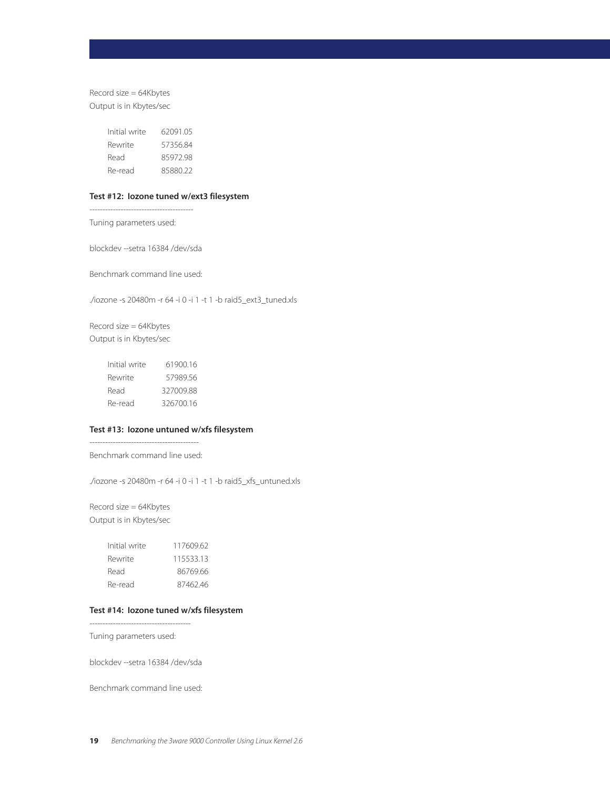Record size = 64Kbytes Output is in Kbytes/sec

| Initial write | 6209105  |
|---------------|----------|
| Rewrite       | 57356.84 |
| Read          | 8597298  |
| Re-read       | 8588022  |

## **Test #12: Iozone tuned w/ext3 filesystem**

Tuning parameters used:

----------------------------------------

blockdev --setra 16384 /dev/sda

Benchmark command line used:

./iozone -s 20480m -r 64 -i 0 -i 1 -t 1 -b raid5\_ext3\_tuned.xls

Record size = 64Kbytes Output is in Kbytes/sec

| Initial write | 6190016   |
|---------------|-----------|
| Rewrite       | 57989.56  |
| Read          | 327009.88 |
| Re-read       | 326700.16 |

## **Test #13: Iozone untuned w/xfs filesystem**

------------------------------------------ Benchmark command line used:

./iozone -s 20480m -r 64 -i 0 -i 1 -t 1 -b raid5\_xfs\_untuned.xls

Record size = 64Kbytes Output is in Kbytes/sec

| Initial write | 11760962 |
|---------------|----------|
| Rewrite       | 11553313 |
| Read          | 86769.66 |
| Re-read       | 8746246  |

## **Test #14: Iozone tuned w/xfs filesystem**

Tuning parameters used:

---------------------------------------

blockdev --setra 16384 /dev/sda

Benchmark command line used: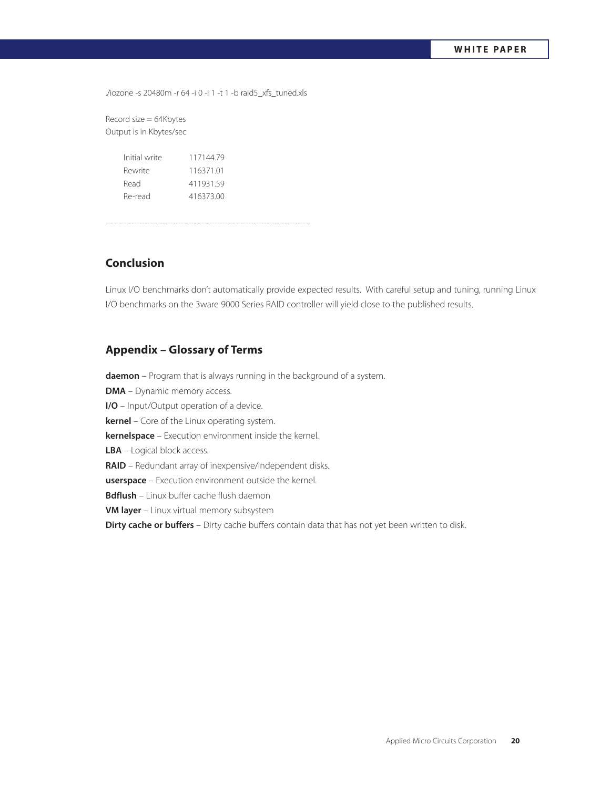./iozone -s 20480m -r 64 -i 0 -i 1 -t 1 -b raid5\_xfs\_tuned.xls

Record size = 64Kbytes Output is in Kbytes/sec

| Initial write | 11714479  |
|---------------|-----------|
| Rewrite       | 11637101  |
| Read          | 41193159  |
| Re-read       | 416373.00 |
|               |           |

-------------------------------------------------------------------------------

# **Conclusion**

Linux I/O benchmarks don't automatically provide expected results. With careful setup and tuning, running Linux I/O benchmarks on the 3ware 9000 Series RAID controller will yield close to the published results.

# **Appendix – Glossary of Terms**

**daemon** – Program that is always running in the background of a system. **DMA** – Dynamic memory access. **I/O** – Input/Output operation of a device. **kernel** – Core of the Linux operating system. **kernelspace** – Execution environment inside the kernel. **LBA** – Logical block access. **RAID** – Redundant array of inexpensive/independent disks. **userspace** – Execution environment outside the kernel. **Bdflush** – Linux buffer cache flush daemon **VM layer** – Linux virtual memory subsystem **Dirty cache or buffers** – Dirty cache buffers contain data that has not yet been written to disk.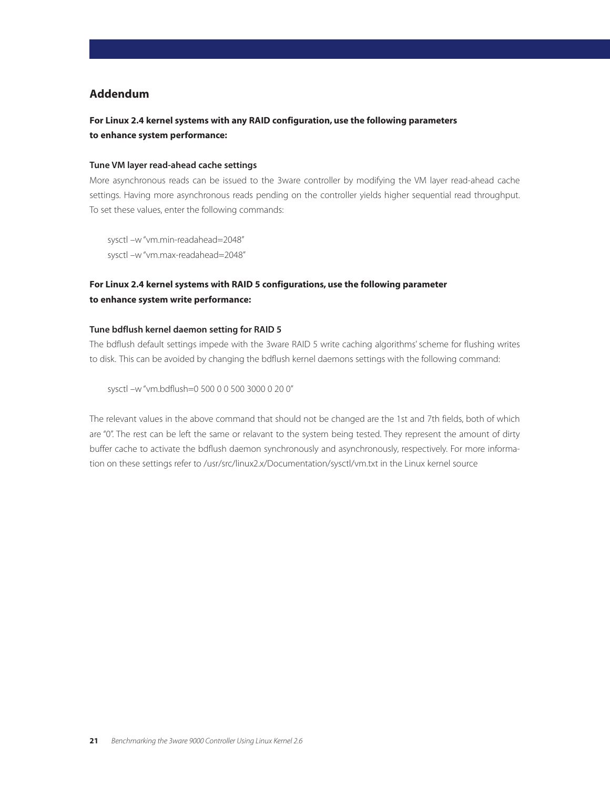# **Addendum**

# **For Linux 2.4 kernel systems with any RAID configuration, use the following parameters to enhance system performance:**

### **Tune VM layer read-ahead cache settings**

More asynchronous reads can be issued to the 3ware controller by modifying the VM layer read-ahead cache settings. Having more asynchronous reads pending on the controller yields higher sequential read throughput. To set these values, enter the following commands:

sysctl –w "vm.min-readahead=2048" sysctl –w "vm.max-readahead=2048"

# **For Linux 2.4 kernel systems with RAID 5 configurations, use the following parameter to enhance system write performance:**

## **Tune bdflush kernel daemon setting for RAID 5**

The bdflush default settings impede with the 3ware RAID 5 write caching algorithms' scheme for flushing writes to disk. This can be avoided by changing the bdflush kernel daemons settings with the following command:

sysctl –w "vm.bdflush=0 500 0 0 500 3000 0 20 0"

The relevant values in the above command that should not be changed are the 1st and 7th fields, both of which are "0". The rest can be left the same or relavant to the system being tested. They represent the amount of dirty buffer cache to activate the bdflush daemon synchronously and asynchronously, respectively. For more information on these settings refer to /usr/src/linux2.x/Documentation/sysctl/vm.txt in the Linux kernel source